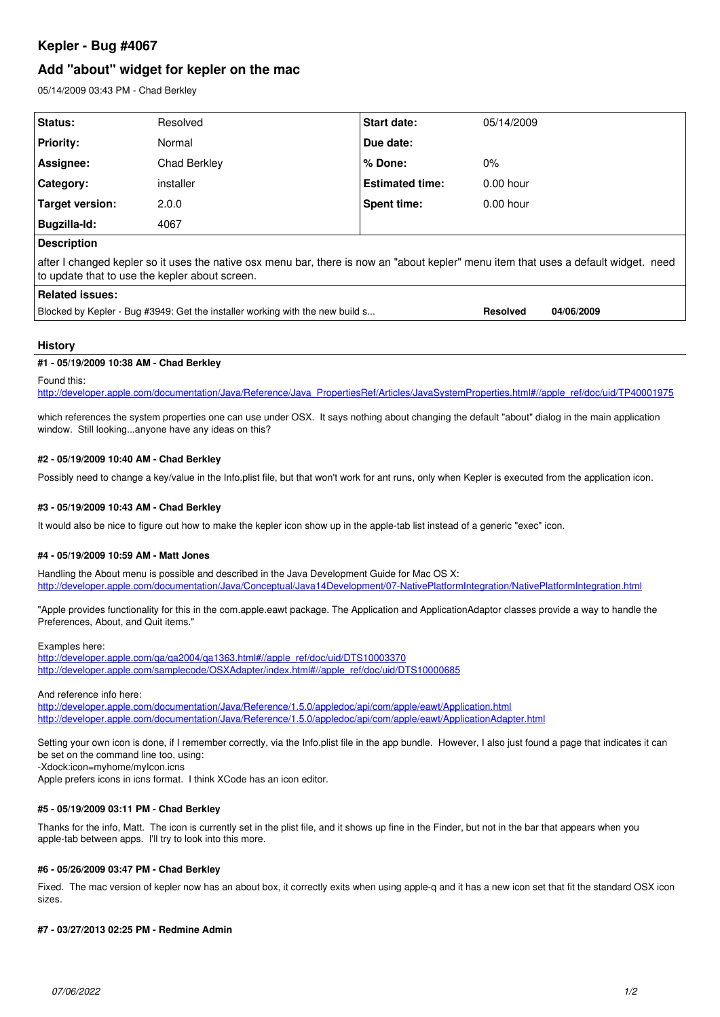# **Kepler - Bug #4067**

## **Add "about" widget for kepler on the mac**

05/14/2009 03:43 PM - Chad Berkley

| Resolved     | <b>Start date:</b>     | 05/14/2009  |  |
|--------------|------------------------|-------------|--|
| Normal       | Due date:              |             |  |
| Chad Berkley | % Done:                | $0\%$       |  |
| installer    | <b>Estimated time:</b> | $0.00$ hour |  |
| 2.0.0        | Spent time:            | $0.00$ hour |  |
| 4067         |                        |             |  |
|              |                        |             |  |
|              |                        |             |  |

after I changed kepler so it uses the native osx menu bar, there is now an "about kepler" menu item that uses a default widget. need to update that to use the kepler about screen.

## **Related issues:**

Blocked by Kepler - Bug #3949: Get the installer working with the new build s... **Resolved** 04/06/2009

## **History**

## **#1 - 05/19/2009 10:38 AM - Chad Berkley**

Found this:

[http://developer.apple.com/documentation/Java/Reference/Java\\_PropertiesRef/Articles/JavaSystemProperties.html#//apple\\_ref/doc/uid/TP40001975](http://developer.apple.com/documentation/Java/Reference/Java_PropertiesRef/Articles/JavaSystemProperties.html#//apple_ref/doc/uid/TP40001975)

which references the system properties one can use under OSX. It says nothing about changing the default "about" dialog in the main application window. Still looking...anyone have any ideas on this?

## **#2 - 05/19/2009 10:40 AM - Chad Berkley**

Possibly need to change a key/value in the Info.plist file, but that won't work for ant runs, only when Kepler is executed from the application icon.

## **#3 - 05/19/2009 10:43 AM - Chad Berkley**

It would also be nice to figure out how to make the kepler icon show up in the apple-tab list instead of a generic "exec" icon.

### **#4 - 05/19/2009 10:59 AM - Matt Jones**

Handling the About menu is possible and described in the Java Development Guide for Mac OS X: <http://developer.apple.com/documentation/Java/Conceptual/Java14Development/07-NativePlatformIntegration/NativePlatformIntegration.html>

"Apple provides functionality for this in the com.apple.eawt package. The Application and ApplicationAdaptor classes provide a way to handle the Preferences, About, and Quit items."

### Examples here:

[http://developer.apple.com/qa/qa2004/qa1363.html#//apple\\_ref/doc/uid/DTS10003370](http://developer.apple.com/qa/qa2004/qa1363.html#//apple_ref/doc/uid/DTS10003370) [http://developer.apple.com/samplecode/OSXAdapter/index.html#//apple\\_ref/doc/uid/DTS10000685](http://developer.apple.com/samplecode/OSXAdapter/index.html#//apple_ref/doc/uid/DTS10000685)

And reference info here:

<http://developer.apple.com/documentation/Java/Reference/1.5.0/appledoc/api/com/apple/eawt/Application.html> <http://developer.apple.com/documentation/Java/Reference/1.5.0/appledoc/api/com/apple/eawt/ApplicationAdapter.html>

Setting your own icon is done, if I remember correctly, via the Info.plist file in the app bundle. However, I also just found a page that indicates it can be set on the command line too, using:

-Xdock:icon=myhome/myIcon.icns

Apple prefers icons in icns format. I think XCode has an icon editor.

## **#5 - 05/19/2009 03:11 PM - Chad Berkley**

Thanks for the info, Matt. The icon is currently set in the plist file, and it shows up fine in the Finder, but not in the bar that appears when you apple-tab between apps. I'll try to look into this more.

### **#6 - 05/26/2009 03:47 PM - Chad Berkley**

Fixed. The mac version of kepler now has an about box, it correctly exits when using apple-q and it has a new icon set that fit the standard OSX icon sizes.

## **#7 - 03/27/2013 02:25 PM - Redmine Admin**